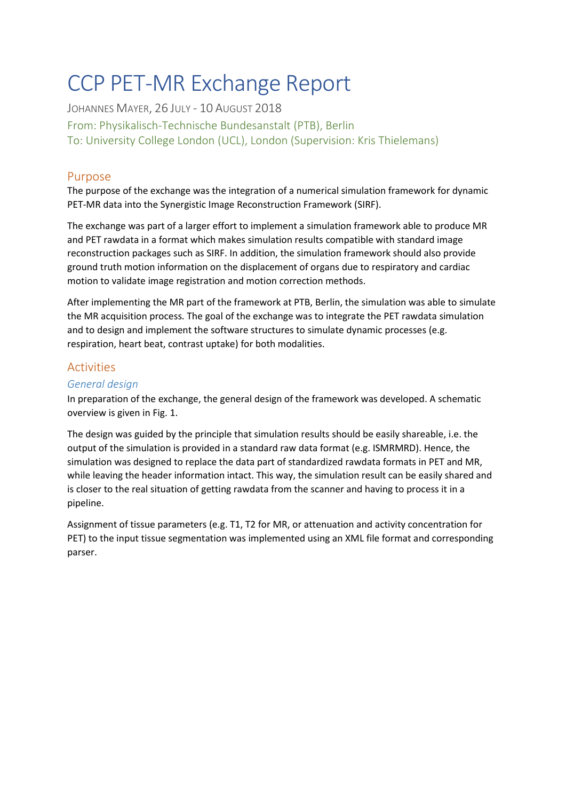# CCP PET-MR Exchange Report

JOHANNES MAYER, 26 JULY - 10 AUGUST 2018 From: Physikalisch-Technische Bundesanstalt (PTB), Berlin To: University College London (UCL), London (Supervision: Kris Thielemans)

## Purpose

The purpose of the exchange was the integration of a numerical simulation framework for dynamic PET-MR data into the Synergistic Image Reconstruction Framework (SIRF).

The exchange was part of a larger effort to implement a simulation framework able to produce MR and PET rawdata in a format which makes simulation results compatible with standard image reconstruction packages such as SIRF. In addition, the simulation framework should also provide ground truth motion information on the displacement of organs due to respiratory and cardiac motion to validate image registration and motion correction methods.

After implementing the MR part of the framework at PTB, Berlin, the simulation was able to simulate the MR acquisition process. The goal of the exchange was to integrate the PET rawdata simulation and to design and implement the software structures to simulate dynamic processes (e.g. respiration, heart beat, contrast uptake) for both modalities.

# Activities

## *General design*

In preparation of the exchange, the general design of the framework was developed. A schematic overview is given in Fig. 1.

The design was guided by the principle that simulation results should be easily shareable, i.e. the output of the simulation is provided in a standard raw data format (e.g. ISMRMRD). Hence, the simulation was designed to replace the data part of standardized rawdata formats in PET and MR, while leaving the header information intact. This way, the simulation result can be easily shared and is closer to the real situation of getting rawdata from the scanner and having to process it in a pipeline.

Assignment of tissue parameters (e.g. T1, T2 for MR, or attenuation and activity concentration for PET) to the input tissue segmentation was implemented using an XML file format and corresponding parser.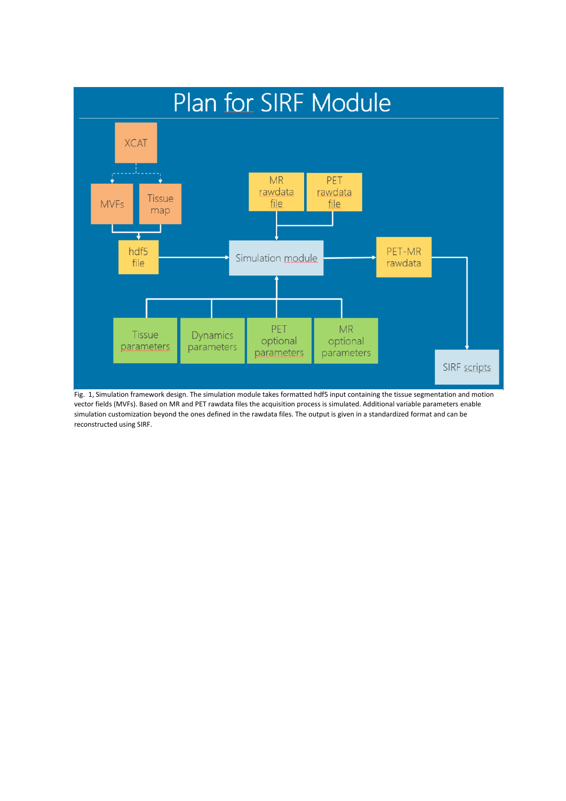

Fig. 1, Simulation framework design. The simulation module takes formatted hdf5 input containing the tissue segmentation and motion vector fields (MVFs). Based on MR and PET rawdata files the acquisition process is simulated. Additional variable parameters enable simulation customization beyond the ones defined in the rawdata files. The output is given in a standardized format and can be reconstructed using SIRF.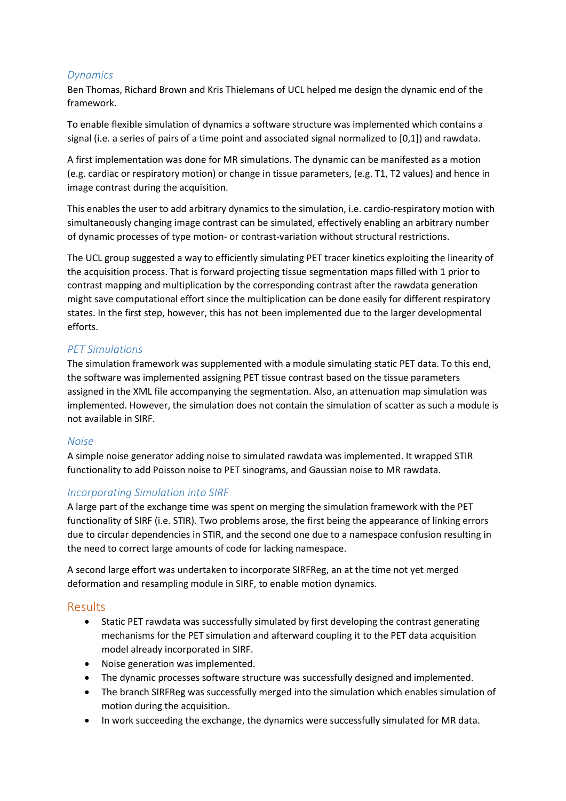### *Dynamics*

Ben Thomas, Richard Brown and Kris Thielemans of UCL helped me design the dynamic end of the framework.

To enable flexible simulation of dynamics a software structure was implemented which contains a signal (i.e. a series of pairs of a time point and associated signal normalized to [0,1]) and rawdata.

A first implementation was done for MR simulations. The dynamic can be manifested as a motion (e.g. cardiac or respiratory motion) or change in tissue parameters, (e.g. T1, T2 values) and hence in image contrast during the acquisition.

This enables the user to add arbitrary dynamics to the simulation, i.e. cardio-respiratory motion with simultaneously changing image contrast can be simulated, effectively enabling an arbitrary number of dynamic processes of type motion- or contrast-variation without structural restrictions.

The UCL group suggested a way to efficiently simulating PET tracer kinetics exploiting the linearity of the acquisition process. That is forward projecting tissue segmentation maps filled with 1 prior to contrast mapping and multiplication by the corresponding contrast after the rawdata generation might save computational effort since the multiplication can be done easily for different respiratory states. In the first step, however, this has not been implemented due to the larger developmental efforts.

## *PET Simulations*

The simulation framework was supplemented with a module simulating static PET data. To this end, the software was implemented assigning PET tissue contrast based on the tissue parameters assigned in the XML file accompanying the segmentation. Also, an attenuation map simulation was implemented. However, the simulation does not contain the simulation of scatter as such a module is not available in SIRF.

#### *Noise*

A simple noise generator adding noise to simulated rawdata was implemented. It wrapped STIR functionality to add Poisson noise to PET sinograms, and Gaussian noise to MR rawdata.

#### *Incorporating Simulation into SIRF*

A large part of the exchange time was spent on merging the simulation framework with the PET functionality of SIRF (i.e. STIR). Two problems arose, the first being the appearance of linking errors due to circular dependencies in STIR, and the second one due to a namespace confusion resulting in the need to correct large amounts of code for lacking namespace.

A second large effort was undertaken to incorporate SIRFReg, an at the time not yet merged deformation and resampling module in SIRF, to enable motion dynamics.

#### Results

- Static PET rawdata was successfully simulated by first developing the contrast generating mechanisms for the PET simulation and afterward coupling it to the PET data acquisition model already incorporated in SIRF.
- Noise generation was implemented.
- The dynamic processes software structure was successfully designed and implemented.
- The branch SIRFReg was successfully merged into the simulation which enables simulation of motion during the acquisition.
- In work succeeding the exchange, the dynamics were successfully simulated for MR data.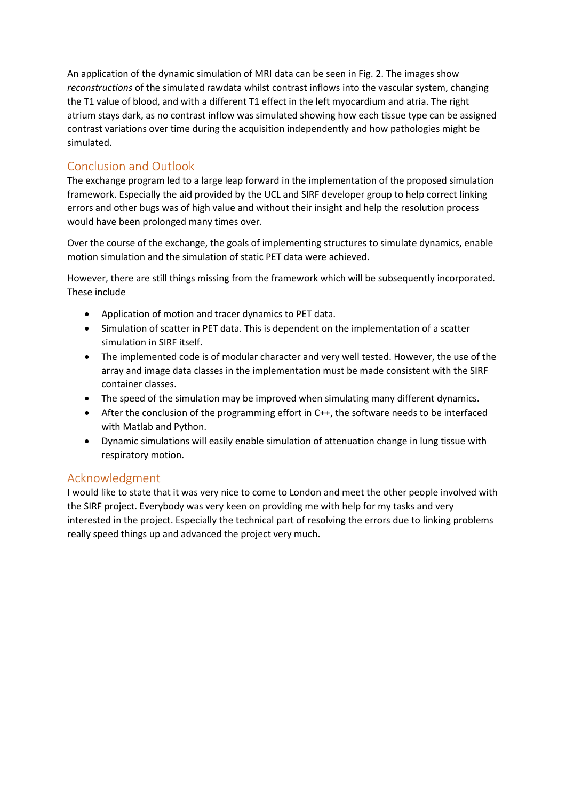An application of the dynamic simulation of MRI data can be seen in Fig. 2. The images show *reconstructions* of the simulated rawdata whilst contrast inflows into the vascular system, changing the T1 value of blood, and with a different T1 effect in the left myocardium and atria. The right atrium stays dark, as no contrast inflow was simulated showing how each tissue type can be assigned contrast variations over time during the acquisition independently and how pathologies might be simulated.

# Conclusion and Outlook

The exchange program led to a large leap forward in the implementation of the proposed simulation framework. Especially the aid provided by the UCL and SIRF developer group to help correct linking errors and other bugs was of high value and without their insight and help the resolution process would have been prolonged many times over.

Over the course of the exchange, the goals of implementing structures to simulate dynamics, enable motion simulation and the simulation of static PET data were achieved.

However, there are still things missing from the framework which will be subsequently incorporated. These include

- Application of motion and tracer dynamics to PET data.
- Simulation of scatter in PET data. This is dependent on the implementation of a scatter simulation in SIRF itself.
- The implemented code is of modular character and very well tested. However, the use of the array and image data classes in the implementation must be made consistent with the SIRF container classes.
- The speed of the simulation may be improved when simulating many different dynamics.
- After the conclusion of the programming effort in C++, the software needs to be interfaced with Matlab and Python.
- Dynamic simulations will easily enable simulation of attenuation change in lung tissue with respiratory motion.

## Acknowledgment

I would like to state that it was very nice to come to London and meet the other people involved with the SIRF project. Everybody was very keen on providing me with help for my tasks and very interested in the project. Especially the technical part of resolving the errors due to linking problems really speed things up and advanced the project very much.